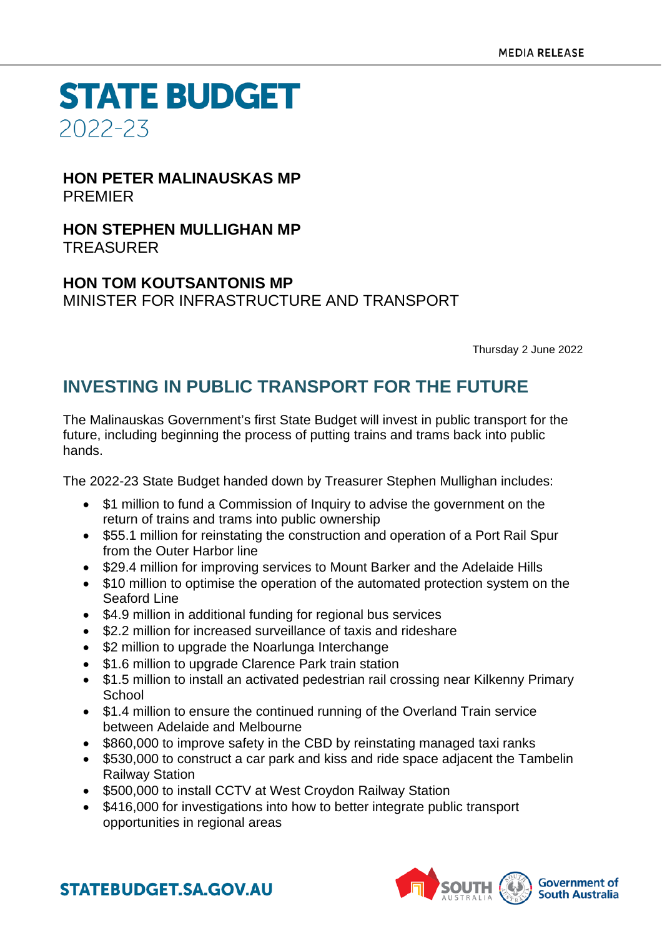**STATE BUDGET** 2022-23

#### **HON PETER MALINAUSKAS MP** PREMIER

**HON STEPHEN MULLIGHAN MP** TREASURER

### **HON TOM KOUTSANTONIS MP** MINISTER FOR INFRASTRUCTURE AND TRANSPORT

Thursday 2 June 2022

## **INVESTING IN PUBLIC TRANSPORT FOR THE FUTURE**

The Malinauskas Government's first State Budget will invest in public transport for the future, including beginning the process of putting trains and trams back into public hands.

The 2022-23 State Budget handed down by Treasurer Stephen Mullighan includes:

- \$1 million to fund a Commission of Inquiry to advise the government on the return of trains and trams into public ownership
- \$55.1 million for reinstating the construction and operation of a Port Rail Spur from the Outer Harbor line
- \$29.4 million for improving services to Mount Barker and the Adelaide Hills
- \$10 million to optimise the operation of the automated protection system on the Seaford Line
- \$4.9 million in additional funding for regional bus services
- \$2.2 million for increased surveillance of taxis and rideshare
- \$2 million to upgrade the Noarlunga Interchange
- \$1.6 million to upgrade Clarence Park train station
- \$1.5 million to install an activated pedestrian rail crossing near Kilkenny Primary **School**
- \$1.4 million to ensure the continued running of the Overland Train service between Adelaide and Melbourne
- \$860,000 to improve safety in the CBD by reinstating managed taxi ranks
- \$530,000 to construct a car park and kiss and ride space adjacent the Tambelin Railway Station
- \$500,000 to install CCTV at West Croydon Railway Station
- \$416,000 for investigations into how to better integrate public transport opportunities in regional areas